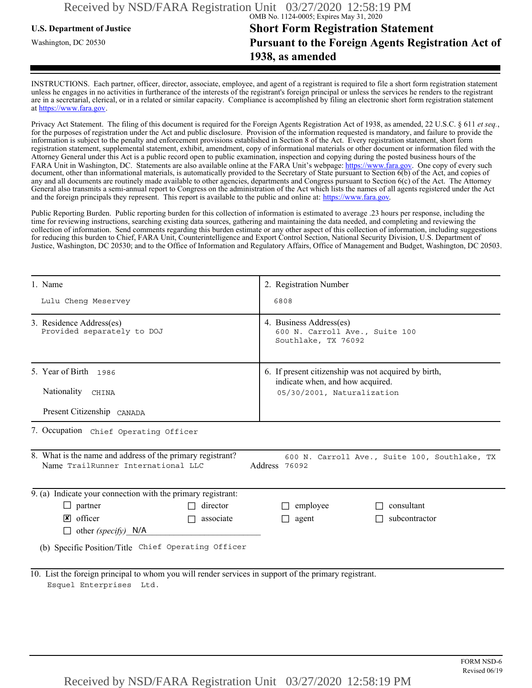## **U.S. Department of Justice Short Form Registration Statement** Washington, DC 20530 **Pursuant to the Foreign Agents Registration Act of 1938, as amended**

INSTRUCTIONS. Each partner, officer, director, associate, employee, and agent of a registrant is required to file a short form registration statement unless he engages in no activities in furtherance of the interests of the registrant's foreign principal or unless the services he renders to the registrant are in a secretarial, clerical, or in a related or similar capacity. Compliance is accomplished by filing an electronic short form registration statement at https://www.fara.gov.

Privacy Act Statement. The filing of this document is required for the Foreign Agents Registration Act of 1938, as amended, 22 U.S.C. § 611 *et seq.*, for the purposes of registration under the Act and public disclosure. Provision of the information requested is mandatory, and failure to provide the information is subject to the penalty and enforcement provisions established in Section 8 of the Act. Every registration statement, short form registration statement, supplemental statement, exhibit, amendment, copy of informational materials or other document or information filed with the Attorney General under this Act is a public record open to public examination, inspection and copying during the posted business hours of the FARA Unit in Washington, DC. Statements are also available online at the FARA Unit's webpage: https://www.fara.gov. One copy of every such document, other than informational materials, is automatically provided to the Secretary of State pursuant to Section 6(b) of the Act, and copies of any and all documents are routinely made available to other agencies, departments and Congress pursuant to Section 6(c) of the Act. The Attorney General also transmits a semi-annual report to Congress on the administration of the Act which lists the names of all agents registered under the Act and the foreign principals they represent. This report is available to the public and online at: https://www.fara.gov.

Public Reporting Burden. Public reporting burden for this collection of information is estimated to average .23 hours per response, including the time for reviewing instructions, searching existing data sources, gathering and maintaining the data needed, and completing and reviewing the collection of information. Send comments regarding this burden estimate or any other aspect of this collection of information, including suggestions for reducing this burden to Chief, FARA Unit, Counterintelligence and Export Control Section, National Security Division, U.S. Department of Justice, Washington, DC 20530; and to the Office of Information and Regulatory Affairs, Office of Management and Budget, Washington, DC 20503.

| 1. Name                                                                                                                                                            | 2. Registration Number                                                                                                 |  |  |  |
|--------------------------------------------------------------------------------------------------------------------------------------------------------------------|------------------------------------------------------------------------------------------------------------------------|--|--|--|
| Lulu Cheng Meservey                                                                                                                                                | 6808                                                                                                                   |  |  |  |
| 3. Residence Address(es)<br>Provided separately to DOJ                                                                                                             | 4. Business Address(es)<br>600 N. Carroll Ave., Suite 100<br>Southlake, TX 76092                                       |  |  |  |
| 5. Year of Birth 1986                                                                                                                                              | 6. If present citizenship was not acquired by birth,<br>indicate when, and how acquired.<br>05/30/2001, Naturalization |  |  |  |
| Nationality CHINA                                                                                                                                                  |                                                                                                                        |  |  |  |
| Present Citizenship CANADA                                                                                                                                         |                                                                                                                        |  |  |  |
| 7. Occupation Chief Operating Officer                                                                                                                              |                                                                                                                        |  |  |  |
| 8. What is the name and address of the primary registrant?<br>600 N. Carroll Ave., Suite 100, Southlake, TX<br>Name TrailRunner International LLC<br>Address 76092 |                                                                                                                        |  |  |  |
| 9. (a) Indicate your connection with the primary registrant:                                                                                                       |                                                                                                                        |  |  |  |
| director<br>$\Box$ partner                                                                                                                                         | consultant<br>employee                                                                                                 |  |  |  |
| $\triangleright$ officer<br>associate                                                                                                                              | subcontractor<br>agent<br>П                                                                                            |  |  |  |
| other (specify) $N/A$                                                                                                                                              |                                                                                                                        |  |  |  |
| (b) Specific Position/Title Chief Operating Officer                                                                                                                |                                                                                                                        |  |  |  |
| 10. List the foreign principal to whom you will render services in support of the primary registrant.<br>Esquel Enterprises Ltd.                                   |                                                                                                                        |  |  |  |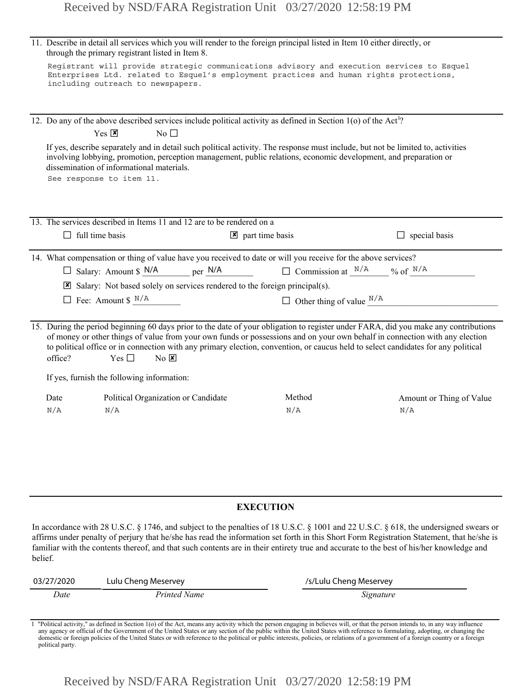|            | through the primary registrant listed in Item 8.                                       | 11. Describe in detail all services which you will render to the foreign principal listed in Item 10 either directly, or                                                                                                                                                                                                                                                                                                     |                          |
|------------|----------------------------------------------------------------------------------------|------------------------------------------------------------------------------------------------------------------------------------------------------------------------------------------------------------------------------------------------------------------------------------------------------------------------------------------------------------------------------------------------------------------------------|--------------------------|
|            | including outreach to newspapers.                                                      | Registrant will provide strategic communications advisory and execution services to Esquel<br>Enterprises Ltd. related to Esquel's employment practices and human rights protections,                                                                                                                                                                                                                                        |                          |
|            |                                                                                        | 12. Do any of the above described services include political activity as defined in Section 1(o) of the Act <sup>1</sup> ?                                                                                                                                                                                                                                                                                                   |                          |
|            | $Yes \n  X$<br>No $\square$                                                            |                                                                                                                                                                                                                                                                                                                                                                                                                              |                          |
|            | dissemination of informational materials.<br>See response to item 11.                  | If yes, describe separately and in detail such political activity. The response must include, but not be limited to, activities<br>involving lobbying, promotion, perception management, public relations, economic development, and preparation or                                                                                                                                                                          |                          |
|            | 13. The services described in Items 11 and 12 are to be rendered on a                  |                                                                                                                                                                                                                                                                                                                                                                                                                              |                          |
|            | $\Box$ full time basis                                                                 | $\triangleright$ part time basis                                                                                                                                                                                                                                                                                                                                                                                             | $\Box$ special basis     |
|            |                                                                                        | 14. What compensation or thing of value have you received to date or will you receive for the above services?                                                                                                                                                                                                                                                                                                                |                          |
|            | $\Box$ Salary: Amount \$ N/A<br>per N/A                                                | $\Box$ Commission at $\frac{N/A}{N}$ % of $\frac{N/A}{N}$                                                                                                                                                                                                                                                                                                                                                                    |                          |
|            | $\boxtimes$ Salary: Not based solely on services rendered to the foreign principal(s). |                                                                                                                                                                                                                                                                                                                                                                                                                              |                          |
|            | $\Box$ Fee: Amount \$ $N/A$                                                            | $\Box$ Other thing of value $\Box^{N/A}$                                                                                                                                                                                                                                                                                                                                                                                     |                          |
| office?    | Yes $\Box$<br>$No$ $X$                                                                 | 15. During the period beginning 60 days prior to the date of your obligation to register under FARA, did you make any contributions<br>of money or other things of value from your own funds or possessions and on your own behalf in connection with any election<br>to political office or in connection with any primary election, convention, or caucus held to select candidates for any political                      |                          |
|            | If yes, furnish the following information:                                             |                                                                                                                                                                                                                                                                                                                                                                                                                              |                          |
| Date       | Political Organization or Candidate                                                    | Method                                                                                                                                                                                                                                                                                                                                                                                                                       | Amount or Thing of Value |
| N/A        | N/A                                                                                    | N/A                                                                                                                                                                                                                                                                                                                                                                                                                          | N/A                      |
|            |                                                                                        |                                                                                                                                                                                                                                                                                                                                                                                                                              |                          |
|            |                                                                                        | <b>EXECUTION</b>                                                                                                                                                                                                                                                                                                                                                                                                             |                          |
| belief.    |                                                                                        | In accordance with 28 U.S.C. § 1746, and subject to the penalties of 18 U.S.C. § 1001 and 22 U.S.C. § 618, the undersigned swears or<br>affirms under penalty of perjury that he/she has read the information set forth in this Short Form Registration Statement, that he/she is<br>familiar with the contents thereof, and that such contents are in their entirety true and accurate to the best of his/her knowledge and |                          |
| 03/27/2020 | Lulu Cheng Meservey                                                                    | /s/Lulu Cheng Meservey                                                                                                                                                                                                                                                                                                                                                                                                       |                          |

#### **EXECUTION**

| 03/27/2020 | Lulu Cheng Meservey | /s/Lulu Cheng Meservey |
|------------|---------------------|------------------------|
| Date       | Printed Name        | Signature              |

1 "Political activity," as defined in Section 1(o) of the Act, means any activity which the person engaging in believes will, or that the person intends to, in any way influence any agency or official of the Government of the United States or any section of the public within the United States with reference to formulating, adopting, or changing the<br>domestic or foreign policies of the United States political party.